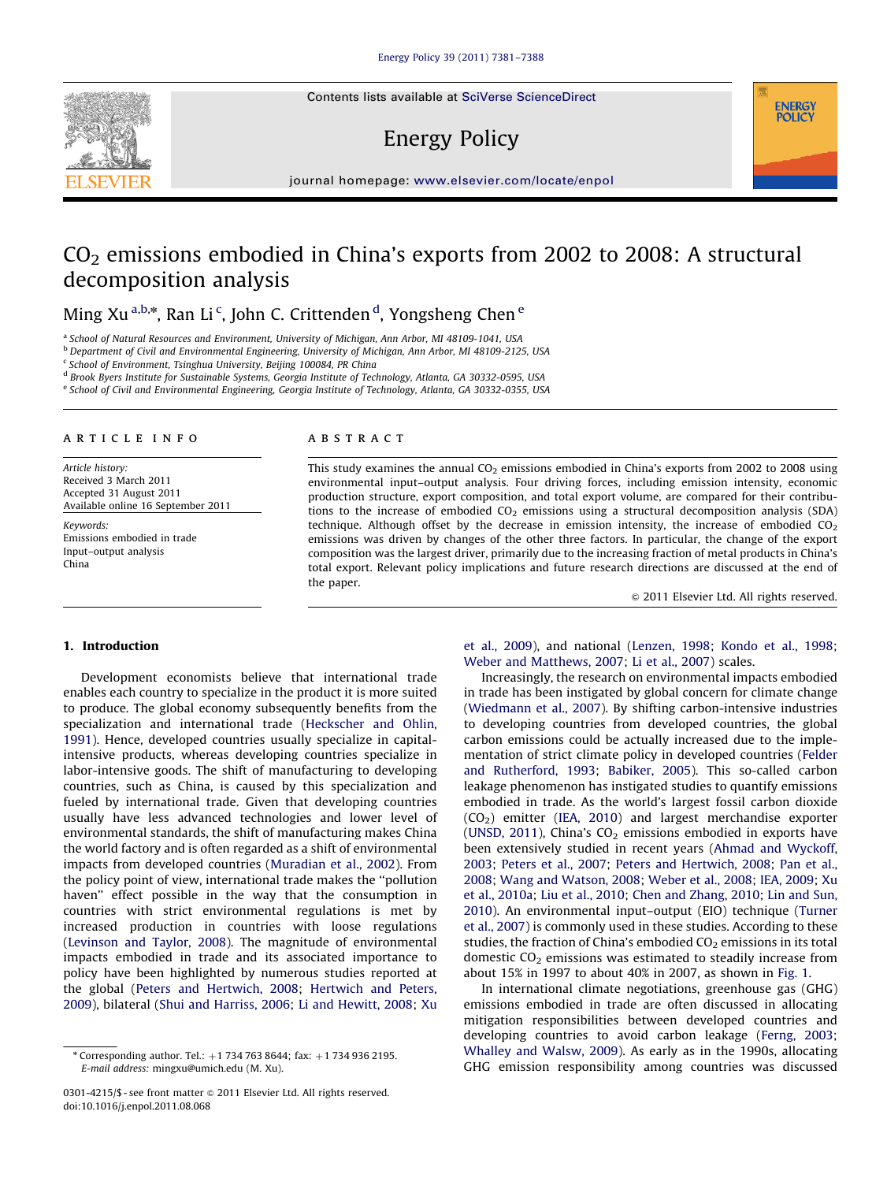Contents lists available at [SciVerse ScienceDirect](www.elsevier.com/locate/enpol)

# Energy Policy

journal homepage: <www.elsevier.com/locate/enpol>

## $CO<sub>2</sub>$  emissions embodied in China's exports from 2002 to 2008: A structural decomposition analysis

Ming Xu<sup>a,b,\*</sup>, Ran Li<sup>c</sup>, John C. Crittenden <sup>d</sup>, Yongsheng Chen <sup>e</sup>

<sup>a</sup> School of Natural Resources and Environment, University of Michigan, Ann Arbor, MI 48109-1041, USA

<sup>b</sup> Department of Civil and Environmental Engineering, University of Michigan, Ann Arbor, MI 48109-2125, USA

<sup>c</sup> School of Environment, Tsinghua University, Beijing 100084, PR China

<sup>d</sup> Brook Byers Institute for Sustainable Systems, Georgia Institute of Technology, Atlanta, GA 30332-0595, USA

<sup>e</sup> School of Civil and Environmental Engineering, Georgia Institute of Technology, Atlanta, GA 30332-0355, USA

## article info

Article history: Received 3 March 2011 Accepted 31 August 2011 Available online 16 September 2011

Keywords: Emissions embodied in trade Input–output analysis China

## ABSTRACT

This study examines the annual  $CO<sub>2</sub>$  emissions embodied in China's exports from 2002 to 2008 using environmental input–output analysis. Four driving forces, including emission intensity, economic production structure, export composition, and total export volume, are compared for their contributions to the increase of embodied  $CO<sub>2</sub>$  emissions using a structural decomposition analysis (SDA) technique. Although offset by the decrease in emission intensity, the increase of embodied  $CO<sub>2</sub>$ emissions was driven by changes of the other three factors. In particular, the change of the export composition was the largest driver, primarily due to the increasing fraction of metal products in China's total export. Relevant policy implications and future research directions are discussed at the end of the paper.

 $©$  2011 Elsevier Ltd. All rights reserved.

**ENERGY POLICY** 

## 1. Introduction

Development economists believe that international trade enables each country to specialize in the product it is more suited to produce. The global economy subsequently benefits from the specialization and international trade [\(Heckscher and Ohlin,](#page-6-0) [1991\)](#page-6-0). Hence, developed countries usually specialize in capitalintensive products, whereas developing countries specialize in labor-intensive goods. The shift of manufacturing to developing countries, such as China, is caused by this specialization and fueled by international trade. Given that developing countries usually have less advanced technologies and lower level of environmental standards, the shift of manufacturing makes China the world factory and is often regarded as a shift of environmental impacts from developed countries ([Muradian et al., 2002\)](#page-7-0). From the policy point of view, international trade makes the ''pollution haven'' effect possible in the way that the consumption in countries with strict environmental regulations is met by increased production in countries with loose regulations ([Levinson and Taylor, 2008\)](#page-7-0). The magnitude of environmental impacts embodied in trade and its associated importance to policy have been highlighted by numerous studies reported at the global [\(Peters and Hertwich, 2008;](#page-7-0) [Hertwich and Peters,](#page-6-0) [2009\)](#page-6-0), bilateral [\(Shui and Harriss, 2006;](#page-7-0) [Li and Hewitt, 2008](#page-7-0); [Xu](#page-7-0)

[et al., 2009\)](#page-7-0), and national ([Lenzen, 1998](#page-6-0); [Kondo et al., 1998;](#page-6-0) [Weber and Matthews, 2007;](#page-7-0) [Li et al., 2007\)](#page-7-0) scales.

Increasingly, the research on environmental impacts embodied in trade has been instigated by global concern for climate change ([Wiedmann et al., 2007\)](#page-7-0). By shifting carbon-intensive industries to developing countries from developed countries, the global carbon emissions could be actually increased due to the implementation of strict climate policy in developed countries ([Felder](#page-6-0) [and Rutherford, 1993;](#page-6-0) [Babiker, 2005](#page-6-0)). This so-called carbon leakage phenomenon has instigated studies to quantify emissions embodied in trade. As the world's largest fossil carbon dioxide  $(CO<sub>2</sub>)$  emitter [\(IEA, 2010\)](#page-6-0) and largest merchandise exporter ([UNSD, 2011\)](#page-7-0), China's  $CO<sub>2</sub>$  emissions embodied in exports have been extensively studied in recent years ([Ahmad and Wyckoff,](#page-6-0) [2003;](#page-6-0) [Peters et al., 2007](#page-7-0); [Peters and Hertwich, 2008;](#page-7-0) [Pan et al.,](#page-7-0) [2008;](#page-7-0) [Wang and Watson, 2008](#page-7-0); [Weber et al., 2008](#page-7-0); [IEA, 2009;](#page-6-0) [Xu](#page-7-0) [et al., 2010a;](#page-7-0) [Liu et al., 2010;](#page-7-0) [Chen and Zhang, 2010](#page-6-0); [Lin and Sun,](#page-7-0) [2010\)](#page-7-0). An environmental input–output (EIO) technique ([Turner](#page-7-0) [et al., 2007\)](#page-7-0) is commonly used in these studies. According to these studies, the fraction of China's embodied  $CO<sub>2</sub>$  emissions in its total domestic  $CO<sub>2</sub>$  emissions was estimated to steadily increase from about 15% in 1997 to about 40% in 2007, as shown in [Fig. 1](#page-1-0).

In international climate negotiations, greenhouse gas (GHG) emissions embodied in trade are often discussed in allocating mitigation responsibilities between developed countries and developing countries to avoid carbon leakage [\(Ferng, 2003;](#page-6-0) [Whalley and Walsw, 2009](#page-7-0)). As early as in the 1990s, allocating GHG emission responsibility among countries was discussed



 $*$  Corresponding author. Tel.:  $+1$  734 763 8644; fax:  $+1$  734 936 2195. E-mail address: [mingxu@umich.edu \(M. Xu\).](mailto:mingxu@umich.edu)

<sup>0301-4215/\$ -</sup> see front matter  $\circ$  2011 Elsevier Ltd. All rights reserved. doi:[10.1016/j.enpol.2011.08.068](dx.doi.org/10.1016/j.enpol.2011.08.068)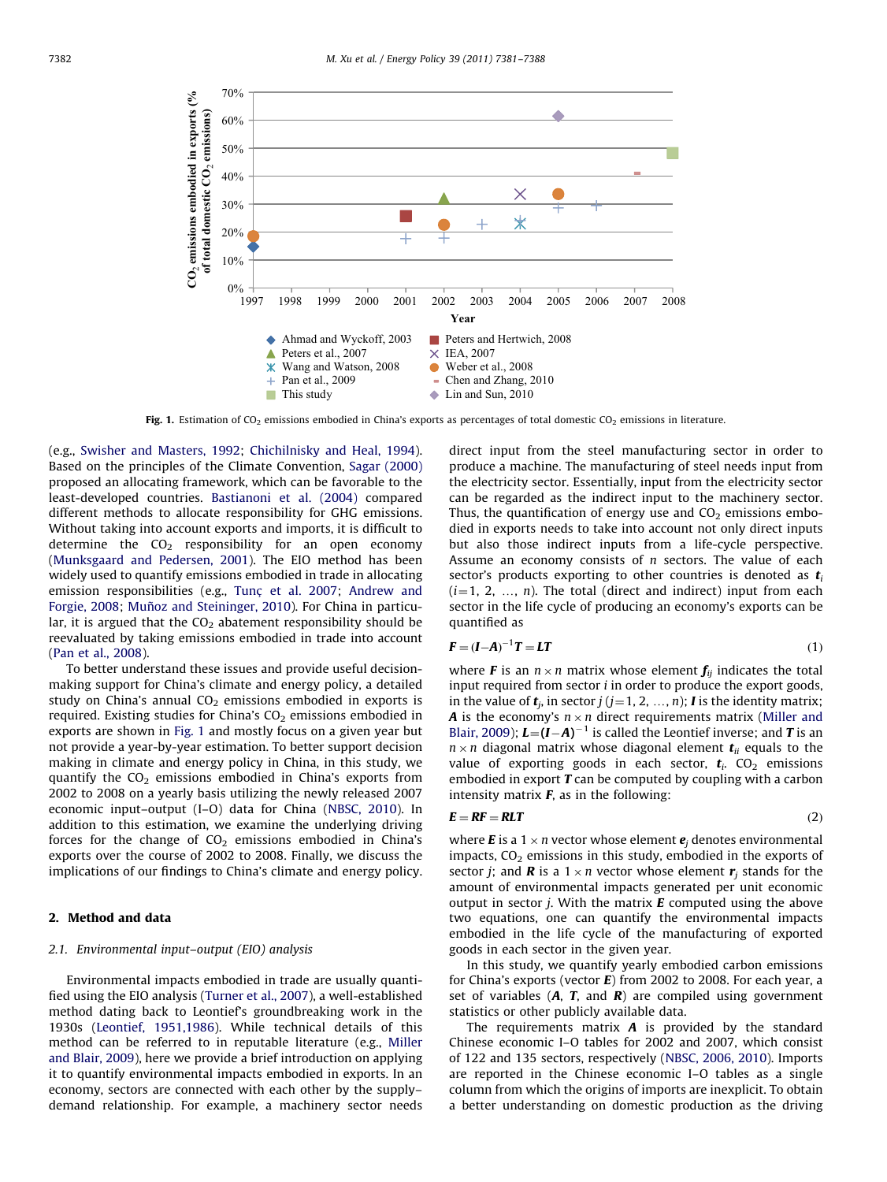<span id="page-1-0"></span>

Fig. 1. Estimation of  $CO_2$  emissions embodied in China's exports as percentages of total domestic  $CO_2$  emissions in literature.

(e.g., [Swisher and Masters, 1992](#page-7-0); [Chichilnisky and Heal, 1994\)](#page-6-0). Based on the principles of the Climate Convention, [Sagar \(2000\)](#page-7-0) proposed an allocating framework, which can be favorable to the least-developed countries. [Bastianoni et al. \(2004\)](#page-6-0) compared different methods to allocate responsibility for GHG emissions. Without taking into account exports and imports, it is difficult to determine the  $CO<sub>2</sub>$  responsibility for an open economy ([Munksgaard and Pedersen, 2001](#page-7-0)). The EIO method has been widely used to quantify emissions embodied in trade in allocating emission responsibilities (e.g., Tunç [et al. 2007;](#page-7-0) [Andrew and](#page-6-0) [Forgie, 2008](#page-6-0); Muñoz and Steininger, 2010). For China in particular, it is argued that the  $CO<sub>2</sub>$  abatement responsibility should be reevaluated by taking emissions embodied in trade into account ([Pan et al., 2008](#page-7-0)).

To better understand these issues and provide useful decisionmaking support for China's climate and energy policy, a detailed study on China's annual  $CO<sub>2</sub>$  emissions embodied in exports is required. Existing studies for China's  $CO<sub>2</sub>$  emissions embodied in exports are shown in Fig. 1 and mostly focus on a given year but not provide a year-by-year estimation. To better support decision making in climate and energy policy in China, in this study, we quantify the  $CO<sub>2</sub>$  emissions embodied in China's exports from 2002 to 2008 on a yearly basis utilizing the newly released 2007 economic input–output (I–O) data for China [\(NBSC, 2010\)](#page-7-0). In addition to this estimation, we examine the underlying driving forces for the change of  $CO<sub>2</sub>$  emissions embodied in China's exports over the course of 2002 to 2008. Finally, we discuss the implications of our findings to China's climate and energy policy.

## 2. Method and data

#### 2.1. Environmental input–output (EIO) analysis

Environmental impacts embodied in trade are usually quantified using the EIO analysis ([Turner et al., 2007](#page-7-0)), a well-established method dating back to Leontief's groundbreaking work in the 1930s ([Leontief, 1951,1986\)](#page-6-0). While technical details of this method can be referred to in reputable literature (e.g., [Miller](#page-7-0) [and Blair, 2009](#page-7-0)), here we provide a brief introduction on applying it to quantify environmental impacts embodied in exports. In an economy, sectors are connected with each other by the supply– demand relationship. For example, a machinery sector needs direct input from the steel manufacturing sector in order to produce a machine. The manufacturing of steel needs input from the electricity sector. Essentially, input from the electricity sector can be regarded as the indirect input to the machinery sector. Thus, the quantification of energy use and  $CO<sub>2</sub>$  emissions embodied in exports needs to take into account not only direct inputs but also those indirect inputs from a life-cycle perspective. Assume an economy consists of  $n$  sectors. The value of each sector's products exporting to other countries is denoted as  $t_i$  $(i=1, 2, ..., n)$ . The total (direct and indirect) input from each sector in the life cycle of producing an economy's exports can be quantified as

$$
\mathbf{F} = (\mathbf{I} - \mathbf{A})^{-1} \mathbf{T} = \mathbf{L} \mathbf{T} \tag{1}
$$

where **F** is an  $n \times n$  matrix whose element  $f_{ij}$  indicates the total input required from sector  $i$  in order to produce the export goods, in the value of  $t_i$ , in sector  $j$  ( $j=1, 2, ..., n$ ); I is the identity matrix; A is the economy's  $n \times n$  direct requirements matrix [\(Miller and](#page-7-0) [Blair, 2009\)](#page-7-0);  $L=(I-A)^{-1}$  is called the Leontief inverse; and T is an  $n \times n$  diagonal matrix whose diagonal element  $t_{ii}$  equals to the value of exporting goods in each sector,  $t_i$ . CO<sub>2</sub> emissions embodied in export  $T$  can be computed by coupling with a carbon intensity matrix  $F$ , as in the following:

$$
E = RF = RLT \tag{2}
$$

where **E** is a 1  $\times$  *n* vector whose element  $e_i$  denotes environmental impacts,  $CO<sub>2</sub>$  emissions in this study, embodied in the exports of sector *j*; and **R** is a  $1 \times n$  vector whose element  $\mathbf{r}_j$  stands for the amount of environmental impacts generated per unit economic output in sector  $j$ . With the matrix  $\bm{E}$  computed using the above two equations, one can quantify the environmental impacts embodied in the life cycle of the manufacturing of exported goods in each sector in the given year.

In this study, we quantify yearly embodied carbon emissions for China's exports (vector  $E$ ) from 2002 to 2008. For each year, a set of variables  $(A, T,$  and  $R)$  are compiled using government statistics or other publicly available data.

The requirements matrix  $A$  is provided by the standard Chinese economic I–O tables for 2002 and 2007, which consist of 122 and 135 sectors, respectively ([NBSC, 2006, 2010\)](#page-7-0). Imports are reported in the Chinese economic I–O tables as a single column from which the origins of imports are inexplicit. To obtain a better understanding on domestic production as the driving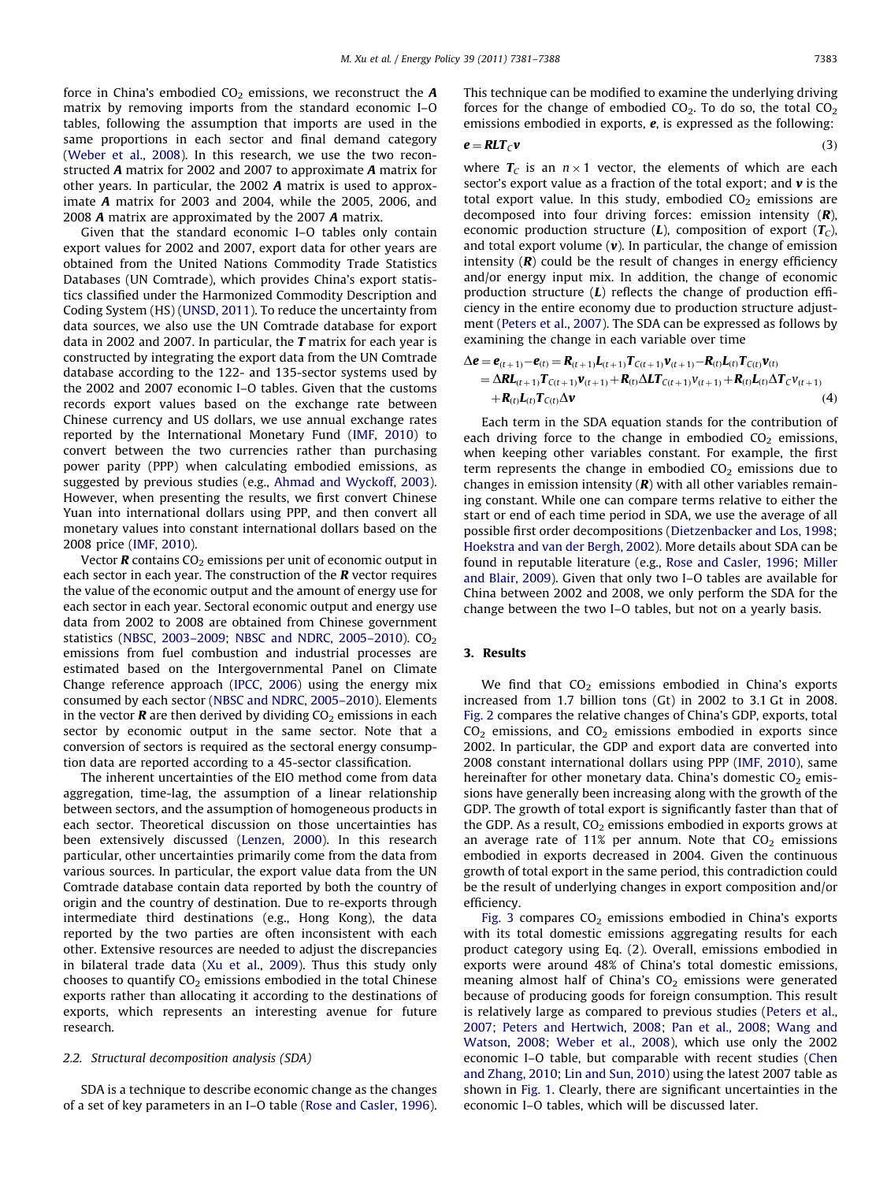force in China's embodied  $CO<sub>2</sub>$  emissions, we reconstruct the  $\boldsymbol{A}$ matrix by removing imports from the standard economic I–O tables, following the assumption that imports are used in the same proportions in each sector and final demand category ([Weber et al., 2008](#page-7-0)). In this research, we use the two reconstructed A matrix for 2002 and 2007 to approximate A matrix for other years. In particular, the 2002 A matrix is used to approximate A matrix for 2003 and 2004, while the 2005, 2006, and 2008 A matrix are approximated by the 2007 A matrix.

Given that the standard economic I–O tables only contain export values for 2002 and 2007, export data for other years are obtained from the United Nations Commodity Trade Statistics Databases (UN Comtrade), which provides China's export statistics classified under the Harmonized Commodity Description and Coding System (HS) ([UNSD, 2011](#page-7-0)). To reduce the uncertainty from data sources, we also use the UN Comtrade database for export data in 2002 and 2007. In particular, the  $T$  matrix for each year is constructed by integrating the export data from the UN Comtrade database according to the 122- and 135-sector systems used by the 2002 and 2007 economic I–O tables. Given that the customs records export values based on the exchange rate between Chinese currency and US dollars, we use annual exchange rates reported by the International Monetary Fund ([IMF, 2010\)](#page-6-0) to convert between the two currencies rather than purchasing power parity (PPP) when calculating embodied emissions, as suggested by previous studies (e.g., [Ahmad and Wyckoff, 2003\)](#page-6-0). However, when presenting the results, we first convert Chinese Yuan into international dollars using PPP, and then convert all monetary values into constant international dollars based on the 2008 price [\(IMF, 2010\)](#page-6-0).

Vector  $\bf{R}$  contains CO<sub>2</sub> emissions per unit of economic output in each sector in each year. The construction of the  *vector requires* the value of the economic output and the amount of energy use for each sector in each year. Sectoral economic output and energy use data from 2002 to 2008 are obtained from Chinese government statistics (NBSC, 2003-2009; NBSC and NDRC, 2005-2010). CO<sub>2</sub> emissions from fuel combustion and industrial processes are estimated based on the Intergovernmental Panel on Climate Change reference approach [\(IPCC, 2006\)](#page-6-0) using the energy mix consumed by each sector [\(NBSC and NDRC, 2005–2010](#page-7-0)). Elements in the vector **R** are then derived by dividing  $CO<sub>2</sub>$  emissions in each sector by economic output in the same sector. Note that a conversion of sectors is required as the sectoral energy consumption data are reported according to a 45-sector classification.

The inherent uncertainties of the EIO method come from data aggregation, time-lag, the assumption of a linear relationship between sectors, and the assumption of homogeneous products in each sector. Theoretical discussion on those uncertainties has been extensively discussed [\(Lenzen, 2000](#page-6-0)). In this research particular, other uncertainties primarily come from the data from various sources. In particular, the export value data from the UN Comtrade database contain data reported by both the country of origin and the country of destination. Due to re-exports through intermediate third destinations (e.g., Hong Kong), the data reported by the two parties are often inconsistent with each other. Extensive resources are needed to adjust the discrepancies in bilateral trade data [\(Xu et al., 2009](#page-7-0)). Thus this study only chooses to quantify  $CO<sub>2</sub>$  emissions embodied in the total Chinese exports rather than allocating it according to the destinations of exports, which represents an interesting avenue for future research.

#### 2.2. Structural decomposition analysis (SDA)

SDA is a technique to describe economic change as the changes of a set of key parameters in an I–O table [\(Rose and Casler, 1996\)](#page-7-0). This technique can be modified to examine the underlying driving forces for the change of embodied  $CO<sub>2</sub>$ . To do so, the total  $CO<sub>2</sub>$ emissions embodied in exports,  $e$ , is expressed as the following:

$$
e = RLT_{\mathcal{C}}v \tag{3}
$$

where  $T_c$  is an  $n \times 1$  vector, the elements of which are each sector's export value as a fraction of the total export; and  $v$  is the total export value. In this study, embodied  $CO<sub>2</sub>$  emissions are decomposed into four driving forces: emission intensity  $(R)$ , economic production structure  $(L)$ , composition of export  $(T_C)$ , and total export volume  $(v)$ . In particular, the change of emission intensity  $(R)$  could be the result of changes in energy efficiency and/or energy input mix. In addition, the change of economic production structure  $(L)$  reflects the change of production efficiency in the entire economy due to production structure adjustment ([Peters et al., 2007](#page-7-0)). The SDA can be expressed as follows by examining the change in each variable over time

$$
\Delta e = e_{(t+1)} - e_{(t)} = R_{(t+1)}L_{(t+1)}T_{C(t+1)}v_{(t+1)} - R_{(t)}L_{(t)}T_{C(t)}v_{(t)} \n= \Delta R L_{(t+1)}T_{C(t+1)}v_{(t+1)} + R_{(t)}\Delta LT_{C(t+1)}v_{(t+1)} + R_{(t)}L_{(t)}\Delta T_{C}v_{(t+1)} \n+ R_{(t)}L_{(t)}T_{C(t)}\Delta v
$$
\n(4)

Each term in the SDA equation stands for the contribution of each driving force to the change in embodied  $CO<sub>2</sub>$  emissions, when keeping other variables constant. For example, the first term represents the change in embodied  $CO<sub>2</sub>$  emissions due to changes in emission intensity  $(R)$  with all other variables remaining constant. While one can compare terms relative to either the start or end of each time period in SDA, we use the average of all possible first order decompositions ([Dietzenbacker and Los, 1998;](#page-6-0) [Hoekstra and van der Bergh, 2002\)](#page-6-0). More details about SDA can be found in reputable literature (e.g., [Rose and Casler, 1996;](#page-7-0) [Miller](#page-7-0) [and Blair, 2009](#page-7-0)). Given that only two I–O tables are available for China between 2002 and 2008, we only perform the SDA for the change between the two I–O tables, but not on a yearly basis.

## 3. Results

We find that  $CO<sub>2</sub>$  emissions embodied in China's exports increased from 1.7 billion tons (Gt) in 2002 to 3.1 Gt in 2008. [Fig. 2](#page-3-0) compares the relative changes of China's GDP, exports, total  $CO<sub>2</sub>$  emissions, and  $CO<sub>2</sub>$  emissions embodied in exports since 2002. In particular, the GDP and export data are converted into 2008 constant international dollars using PPP ([IMF, 2010\)](#page-6-0), same hereinafter for other monetary data. China's domestic  $CO<sub>2</sub>$  emissions have generally been increasing along with the growth of the GDP. The growth of total export is significantly faster than that of the GDP. As a result,  $CO<sub>2</sub>$  emissions embodied in exports grows at an average rate of 11% per annum. Note that  $CO<sub>2</sub>$  emissions embodied in exports decreased in 2004. Given the continuous growth of total export in the same period, this contradiction could be the result of underlying changes in export composition and/or efficiency.

[Fig. 3](#page-3-0) compares  $CO<sub>2</sub>$  emissions embodied in China's exports with its total domestic emissions aggregating results for each product category using Eq. (2). Overall, emissions embodied in exports were around 48% of China's total domestic emissions, meaning almost half of China's  $CO<sub>2</sub>$  emissions were generated because of producing goods for foreign consumption. This result is relatively large as compared to previous studies ([Peters et al.,](#page-7-0) [2007;](#page-7-0) [Peters and Hertwich, 2008](#page-7-0); [Pan et al., 2008;](#page-7-0) [Wang and](#page-7-0) [Watson, 2008](#page-7-0); [Weber et al., 2008](#page-7-0)), which use only the 2002 economic I–O table, but comparable with recent studies [\(Chen](#page-6-0) [and Zhang, 2010](#page-6-0); [Lin and Sun, 2010\)](#page-7-0) using the latest 2007 table as shown in [Fig. 1.](#page-1-0) Clearly, there are significant uncertainties in the economic I–O tables, which will be discussed later.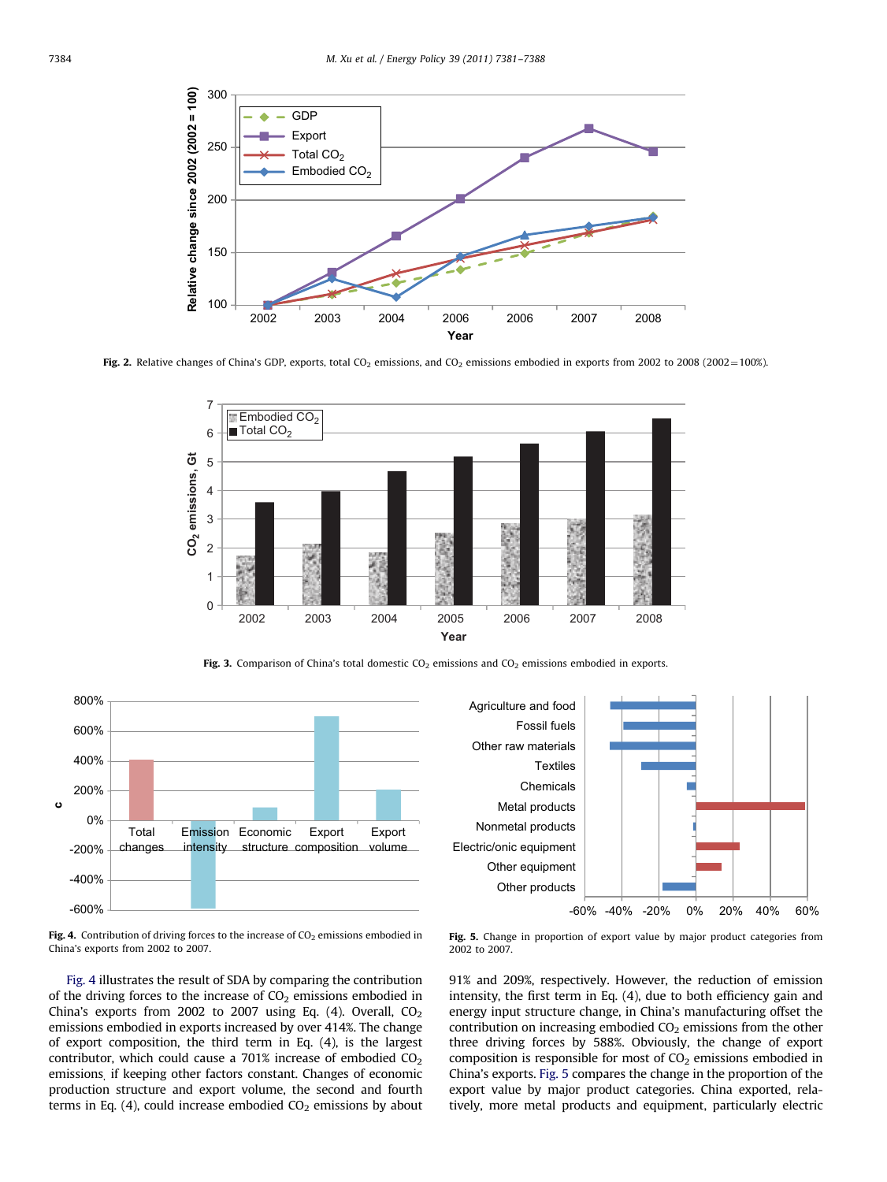<span id="page-3-0"></span>

Fig. 2. Relative changes of China's GDP, exports, total CO<sub>2</sub> emissions, and CO<sub>2</sub> emissions embodied in exports from 2002 to 2008 (2002 = 100%).



Fig. 3. Comparison of China's total domestic  $CO<sub>2</sub>$  emissions and  $CO<sub>2</sub>$  emissions embodied in exports.





Fig. 4. Contribution of driving forces to the increase of  $CO<sub>2</sub>$  emissions embodied in China's exports from 2002 to 2007.

Fig. 4 illustrates the result of SDA by comparing the contribution of the driving forces to the increase of  $CO<sub>2</sub>$  emissions embodied in China's exports from 2002 to 2007 using Eq.  $(4)$ . Overall,  $CO<sub>2</sub>$ emissions embodied in exports increased by over 414%. The change of export composition, the third term in Eq. (4), is the largest contributor, which could cause a  $701\%$  increase of embodied  $CO<sub>2</sub>$ emissions, if keeping other factors constant. Changes of economic production structure and export volume, the second and fourth terms in Eq. (4), could increase embodied  $CO<sub>2</sub>$  emissions by about

Fig. 5. Change in proportion of export value by major product categories from 2002 to 2007.

91% and 209%, respectively. However, the reduction of emission intensity, the first term in Eq. (4), due to both efficiency gain and energy input structure change, in China's manufacturing offset the contribution on increasing embodied  $CO<sub>2</sub>$  emissions from the other three driving forces by 588%. Obviously, the change of export composition is responsible for most of  $CO<sub>2</sub>$  emissions embodied in China's exports. Fig. 5 compares the change in the proportion of the export value by major product categories. China exported, relatively, more metal products and equipment, particularly electric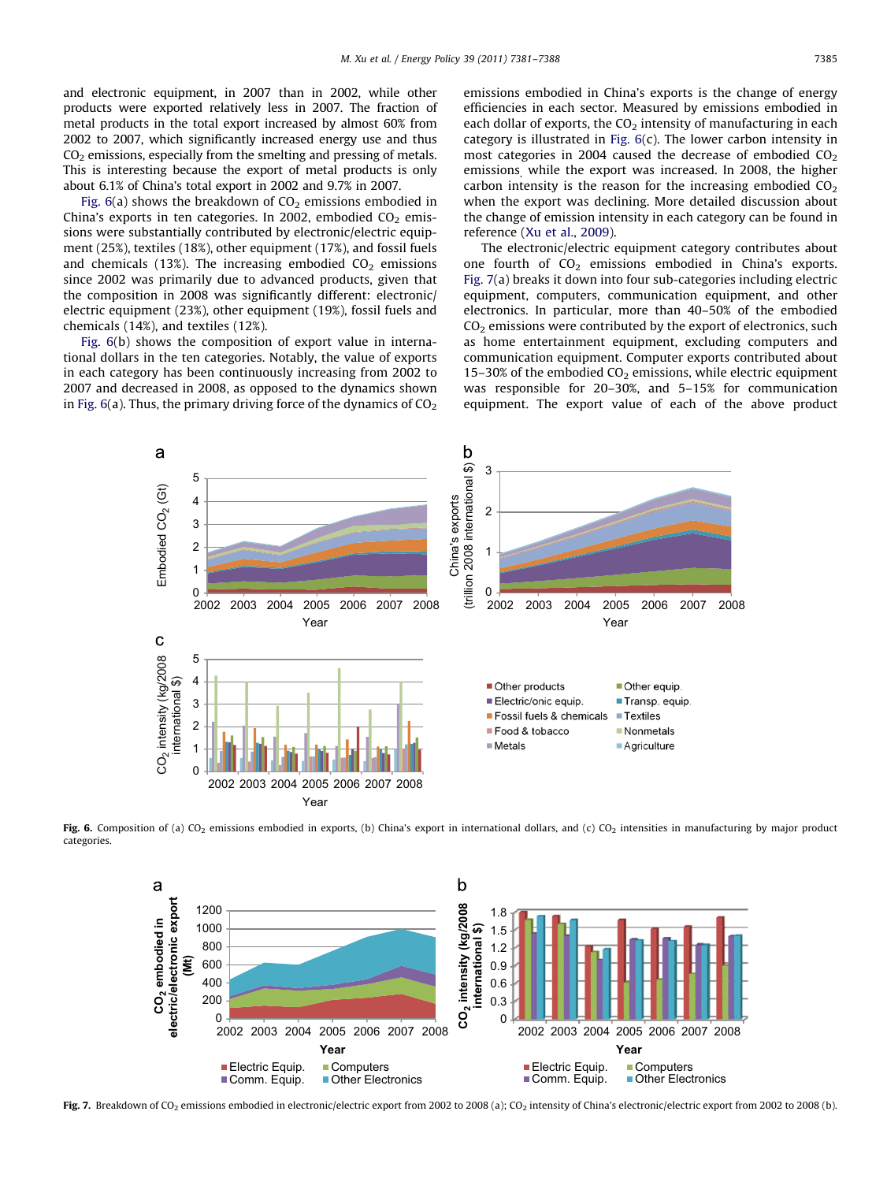<span id="page-4-0"></span>and electronic equipment, in 2007 than in 2002, while other products were exported relatively less in 2007. The fraction of metal products in the total export increased by almost 60% from 2002 to 2007, which significantly increased energy use and thus  $CO<sub>2</sub>$  emissions, especially from the smelting and pressing of metals. This is interesting because the export of metal products is only about 6.1% of China's total export in 2002 and 9.7% in 2007.

Fig.  $6(a)$  shows the breakdown of  $CO<sub>2</sub>$  emissions embodied in China's exports in ten categories. In 2002, embodied  $CO<sub>2</sub>$  emissions were substantially contributed by electronic/electric equipment (25%), textiles (18%), other equipment (17%), and fossil fuels and chemicals (13%). The increasing embodied  $CO<sub>2</sub>$  emissions since 2002 was primarily due to advanced products, given that the composition in 2008 was significantly different: electronic/ electric equipment (23%), other equipment (19%), fossil fuels and chemicals (14%), and textiles (12%).

Fig. 6(b) shows the composition of export value in international dollars in the ten categories. Notably, the value of exports in each category has been continuously increasing from 2002 to 2007 and decreased in 2008, as opposed to the dynamics shown in Fig.  $6(a)$ . Thus, the primary driving force of the dynamics of  $CO<sub>2</sub>$  emissions embodied in China's exports is the change of energy efficiencies in each sector. Measured by emissions embodied in each dollar of exports, the  $CO<sub>2</sub>$  intensity of manufacturing in each category is illustrated in Fig.  $6(c)$ . The lower carbon intensity in most categories in 2004 caused the decrease of embodied  $CO<sub>2</sub>$ emissions, while the export was increased. In 2008, the higher carbon intensity is the reason for the increasing embodied  $CO<sub>2</sub>$ when the export was declining. More detailed discussion about the change of emission intensity in each category can be found in reference [\(Xu et al., 2009](#page-7-0)).

The electronic/electric equipment category contributes about one fourth of  $CO<sub>2</sub>$  emissions embodied in China's exports. Fig. 7(a) breaks it down into four sub-categories including electric equipment, computers, communication equipment, and other electronics. In particular, more than 40–50% of the embodied  $CO<sub>2</sub>$  emissions were contributed by the export of electronics, such as home entertainment equipment, excluding computers and communication equipment. Computer exports contributed about 15–30% of the embodied  $CO<sub>2</sub>$  emissions, while electric equipment was responsible for 20–30%, and 5–15% for communication equipment. The export value of each of the above product



Fig. 6. Composition of (a) CO<sub>2</sub> emissions embodied in exports, (b) China's export in international dollars, and (c) CO<sub>2</sub> intensities in manufacturing by major product categories.



Fig. 7. Breakdown of CO<sub>2</sub> emissions embodied in electronic/electric export from 2002 to 2008 (a); CO<sub>2</sub> intensity of China's electronic/electric export from 2002 to 2008 (b).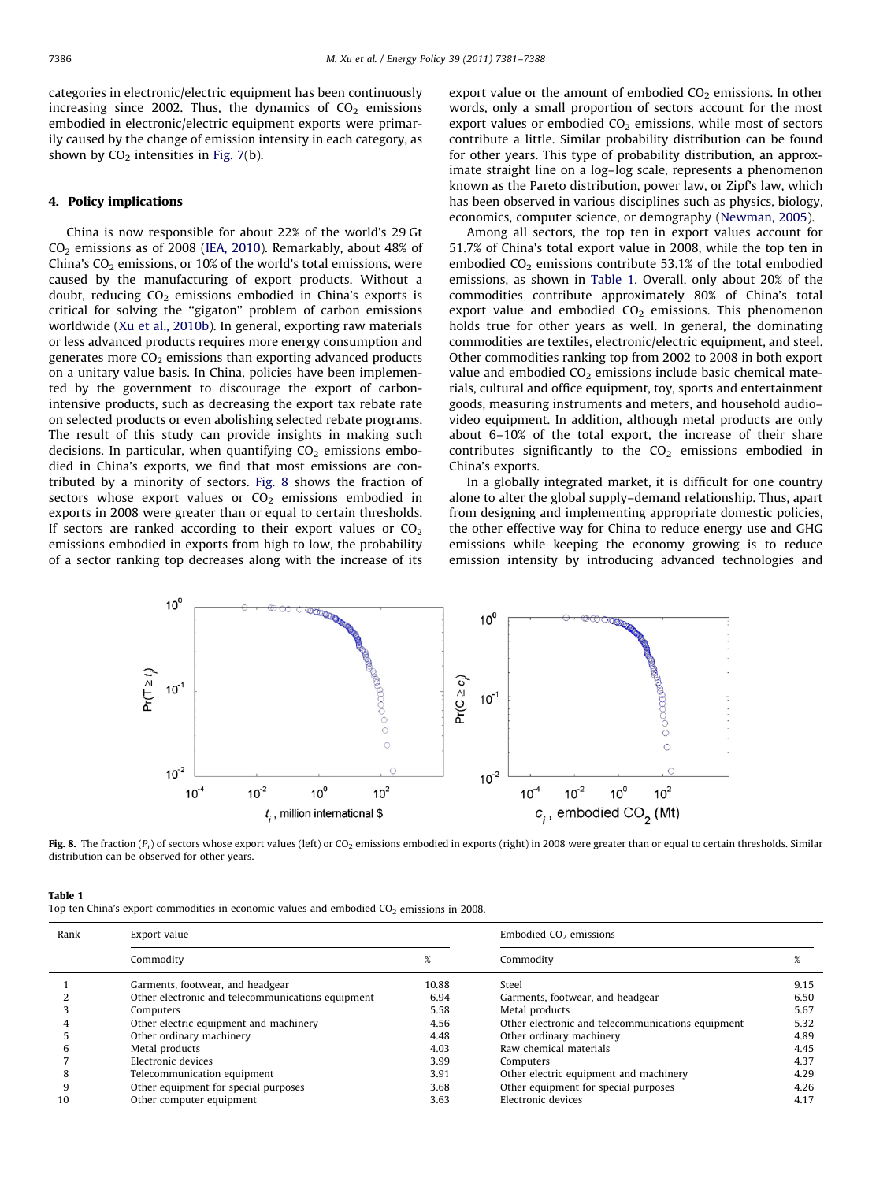categories in electronic/electric equipment has been continuously increasing since 2002. Thus, the dynamics of  $CO<sub>2</sub>$  emissions embodied in electronic/electric equipment exports were primarily caused by the change of emission intensity in each category, as shown by  $CO<sub>2</sub>$  intensities in [Fig. 7](#page-4-0)(b).

#### 4. Policy implications

China is now responsible for about 22% of the world's 29 Gt  $CO<sub>2</sub>$  emissions as of 2008 [\(IEA, 2010\)](#page-6-0). Remarkably, about 48% of China's  $CO<sub>2</sub>$  emissions, or 10% of the world's total emissions, were caused by the manufacturing of export products. Without a doubt, reducing  $CO<sub>2</sub>$  emissions embodied in China's exports is critical for solving the ''gigaton'' problem of carbon emissions worldwide ([Xu et al., 2010b](#page-7-0)). In general, exporting raw materials or less advanced products requires more energy consumption and generates more  $CO<sub>2</sub>$  emissions than exporting advanced products on a unitary value basis. In China, policies have been implemented by the government to discourage the export of carbonintensive products, such as decreasing the export tax rebate rate on selected products or even abolishing selected rebate programs. The result of this study can provide insights in making such decisions. In particular, when quantifying  $CO<sub>2</sub>$  emissions embodied in China's exports, we find that most emissions are contributed by a minority of sectors. Fig. 8 shows the fraction of sectors whose export values or  $CO<sub>2</sub>$  emissions embodied in exports in 2008 were greater than or equal to certain thresholds. If sectors are ranked according to their export values or  $CO<sub>2</sub>$ emissions embodied in exports from high to low, the probability of a sector ranking top decreases along with the increase of its

export value or the amount of embodied  $CO<sub>2</sub>$  emissions. In other words, only a small proportion of sectors account for the most export values or embodied  $CO<sub>2</sub>$  emissions, while most of sectors contribute a little. Similar probability distribution can be found for other years. This type of probability distribution, an approximate straight line on a log–log scale, represents a phenomenon known as the Pareto distribution, power law, or Zipf's law, which has been observed in various disciplines such as physics, biology, economics, computer science, or demography ([Newman, 2005](#page-7-0)).

Among all sectors, the top ten in export values account for 51.7% of China's total export value in 2008, while the top ten in embodied  $CO<sub>2</sub>$  emissions contribute 53.1% of the total embodied emissions, as shown in Table 1. Overall, only about 20% of the commodities contribute approximately 80% of China's total export value and embodied  $CO<sub>2</sub>$  emissions. This phenomenon holds true for other years as well. In general, the dominating commodities are textiles, electronic/electric equipment, and steel. Other commodities ranking top from 2002 to 2008 in both export value and embodied  $CO<sub>2</sub>$  emissions include basic chemical materials, cultural and office equipment, toy, sports and entertainment goods, measuring instruments and meters, and household audio– video equipment. In addition, although metal products are only about 6–10% of the total export, the increase of their share contributes significantly to the  $CO<sub>2</sub>$  emissions embodied in China's exports.

In a globally integrated market, it is difficult for one country alone to alter the global supply–demand relationship. Thus, apart from designing and implementing appropriate domestic policies, the other effective way for China to reduce energy use and GHG emissions while keeping the economy growing is to reduce emission intensity by introducing advanced technologies and



Fig. 8. The fraction  $(P_r)$  of sectors whose export values (left) or CO<sub>2</sub> emissions embodied in exports (right) in 2008 were greater than or equal to certain thresholds. Similar distribution can be observed for other years.

| ш |  |
|---|--|
|   |  |

Top ten China's export commodities in economic values and embodied  $CO<sub>2</sub>$  emissions in 2008.

| Rank | Export value                                      |       | Embodied $CO2$ emissions                          |      |
|------|---------------------------------------------------|-------|---------------------------------------------------|------|
|      | Commodity                                         | %     | Commodity                                         | %    |
|      | Garments, footwear, and headgear                  | 10.88 | Steel                                             | 9.15 |
|      | Other electronic and telecommunications equipment | 6.94  | Garments, footwear, and headgear                  | 6.50 |
|      | Computers                                         | 5.58  | Metal products                                    | 5.67 |
|      | Other electric equipment and machinery            | 4.56  | Other electronic and telecommunications equipment | 5.32 |
|      | Other ordinary machinery                          | 4.48  | Other ordinary machinery                          | 4.89 |
| h    | Metal products                                    | 4.03  | Raw chemical materials                            | 4.45 |
|      | Electronic devices                                | 3.99  | Computers                                         | 4.37 |
| 8    | Telecommunication equipment                       | 3.91  | Other electric equipment and machinery            | 4.29 |
| q    | Other equipment for special purposes              | 3.68  | Other equipment for special purposes              | 4.26 |
| 10   | Other computer equipment                          | 3.63  | Electronic devices                                | 4.17 |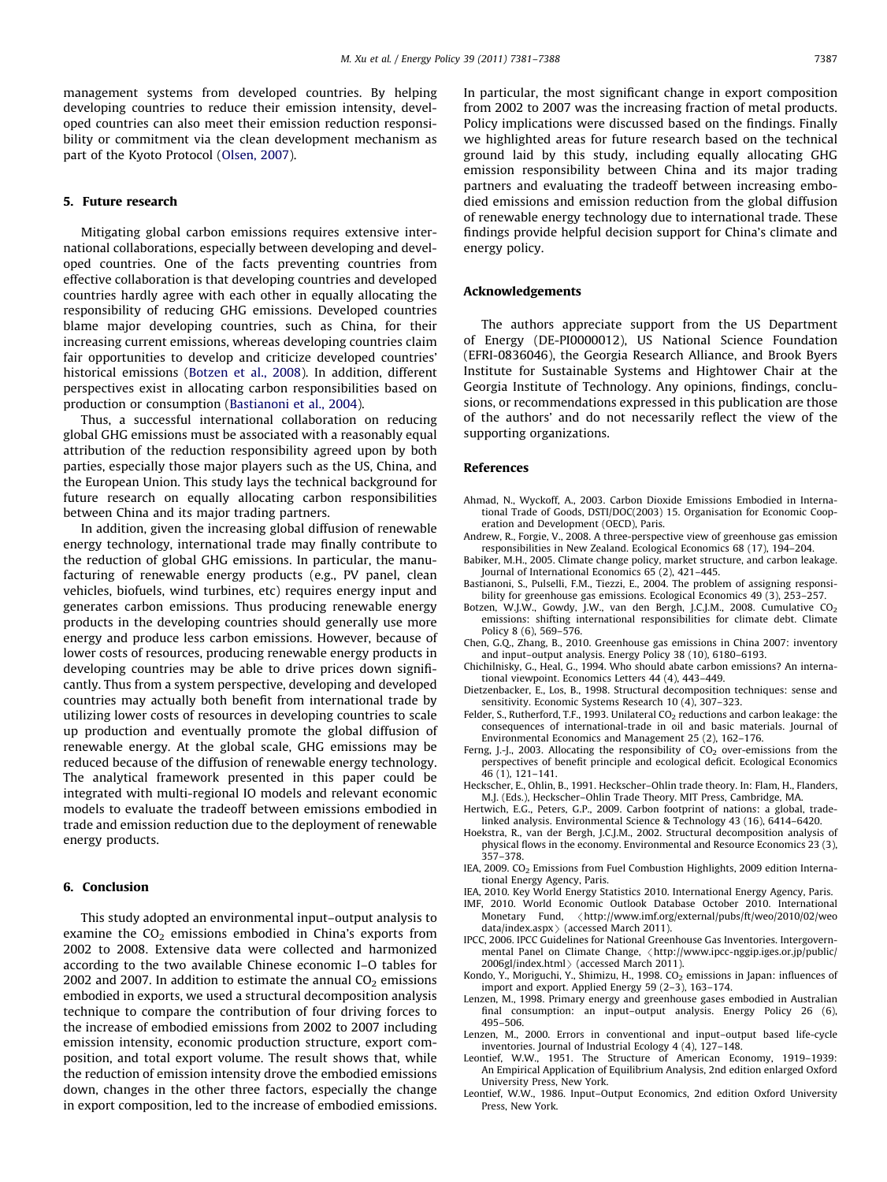<span id="page-6-0"></span>management systems from developed countries. By helping developing countries to reduce their emission intensity, developed countries can also meet their emission reduction responsibility or commitment via the clean development mechanism as part of the Kyoto Protocol ([Olsen, 2007](#page-7-0)).

#### 5. Future research

Mitigating global carbon emissions requires extensive international collaborations, especially between developing and developed countries. One of the facts preventing countries from effective collaboration is that developing countries and developed countries hardly agree with each other in equally allocating the responsibility of reducing GHG emissions. Developed countries blame major developing countries, such as China, for their increasing current emissions, whereas developing countries claim fair opportunities to develop and criticize developed countries' historical emissions (Botzen et al., 2008). In addition, different perspectives exist in allocating carbon responsibilities based on production or consumption (Bastianoni et al., 2004).

Thus, a successful international collaboration on reducing global GHG emissions must be associated with a reasonably equal attribution of the reduction responsibility agreed upon by both parties, especially those major players such as the US, China, and the European Union. This study lays the technical background for future research on equally allocating carbon responsibilities between China and its major trading partners.

In addition, given the increasing global diffusion of renewable energy technology, international trade may finally contribute to the reduction of global GHG emissions. In particular, the manufacturing of renewable energy products (e.g., PV panel, clean vehicles, biofuels, wind turbines, etc) requires energy input and generates carbon emissions. Thus producing renewable energy products in the developing countries should generally use more energy and produce less carbon emissions. However, because of lower costs of resources, producing renewable energy products in developing countries may be able to drive prices down significantly. Thus from a system perspective, developing and developed countries may actually both benefit from international trade by utilizing lower costs of resources in developing countries to scale up production and eventually promote the global diffusion of renewable energy. At the global scale, GHG emissions may be reduced because of the diffusion of renewable energy technology. The analytical framework presented in this paper could be integrated with multi-regional IO models and relevant economic models to evaluate the tradeoff between emissions embodied in trade and emission reduction due to the deployment of renewable energy products.

## 6. Conclusion

This study adopted an environmental input–output analysis to examine the  $CO<sub>2</sub>$  emissions embodied in China's exports from 2002 to 2008. Extensive data were collected and harmonized according to the two available Chinese economic I–O tables for 2002 and 2007. In addition to estimate the annual  $CO<sub>2</sub>$  emissions embodied in exports, we used a structural decomposition analysis technique to compare the contribution of four driving forces to the increase of embodied emissions from 2002 to 2007 including emission intensity, economic production structure, export composition, and total export volume. The result shows that, while the reduction of emission intensity drove the embodied emissions down, changes in the other three factors, especially the change in export composition, led to the increase of embodied emissions. In particular, the most significant change in export composition from 2002 to 2007 was the increasing fraction of metal products. Policy implications were discussed based on the findings. Finally we highlighted areas for future research based on the technical ground laid by this study, including equally allocating GHG emission responsibility between China and its major trading partners and evaluating the tradeoff between increasing embodied emissions and emission reduction from the global diffusion of renewable energy technology due to international trade. These findings provide helpful decision support for China's climate and energy policy.

## Acknowledgements

The authors appreciate support from the US Department of Energy (DE-PI0000012), US National Science Foundation (EFRI-0836046), the Georgia Research Alliance, and Brook Byers Institute for Sustainable Systems and Hightower Chair at the Georgia Institute of Technology. Any opinions, findings, conclusions, or recommendations expressed in this publication are those of the authors' and do not necessarily reflect the view of the supporting organizations.

## References

Ahmad, N., Wyckoff, A., 2003. Carbon Dioxide Emissions Embodied in International Trade of Goods, DSTI/DOC(2003) 15. Organisation for Economic Cooperation and Development (OECD), Paris.

- Andrew, R., Forgie, V., 2008. A three-perspective view of greenhouse gas emission responsibilities in New Zealand. Ecological Economics 68 (17), 194–204.
- Babiker, M.H., 2005. Climate change policy, market structure, and carbon leakage. Journal of International Economics 65 (2), 421–445.
- Bastianoni, S., Pulselli, F.M., Tiezzi, E., 2004. The problem of assigning responsibility for greenhouse gas emissions. Ecological Economics 49 (3), 253–257.
- Botzen, W.J.W., Gowdy, J.W., van den Bergh, J.C.J.M., 2008. Cumulative CO<sub>2</sub><br>emissions: shifting international responsibilities for climate debt. Climate Policy 8 (6), 569–576.
- Chen, G.Q., Zhang, B., 2010. Greenhouse gas emissions in China 2007: inventory and input–output analysis. Energy Policy 38 (10), 6180–6193.
- Chichilnisky, G., Heal, G., 1994. Who should abate carbon emissions? An international viewpoint. Economics Letters 44 (4), 443–449.
- Dietzenbacker, E., Los, B., 1998. Structural decomposition techniques: sense and sensitivity. Economic Systems Research 10 (4), 307–323.
- Felder, S., Rutherford, T.F., 1993. Unilateral  $CO<sub>2</sub>$  reductions and carbon leakage: the consequences of international-trade in oil and basic materials. Journal of Environmental Economics and Management 25 (2), 162–176.
- Ferng, I.-L., 2003. Allocating the responsibility of  $CO<sub>2</sub>$  over-emissions from the perspectives of benefit principle and ecological deficit. Ecological Economics 46 (1), 121–141.
- Heckscher, E., Ohlin, B., 1991. Heckscher–Ohlin trade theory. In: Flam, H., Flanders, M.J. (Eds.), Heckscher–Ohlin Trade Theory. MIT Press, Cambridge, MA.
- Hertwich, E.G., Peters, G.P., 2009. Carbon footprint of nations: a global, tradelinked analysis. Environmental Science & Technology 43 (16), 6414–6420.
- Hoekstra, R., van der Bergh, J.C.J.M., 2002. Structural decomposition analysis of physical flows in the economy. Environmental and Resource Economics 23 (3), 357–378.
- IEA,  $2009$ ,  $CO<sub>2</sub>$  Emissions from Fuel Combustion Highlights,  $2009$  edition International Energy Agency, Paris.
- IEA, 2010. Key World Energy Statistics 2010. International Energy Agency, Paris.
- IMF, 2010. World Economic Outlook Database October 2010. International Monetary Fund, <[http://www.imf.org/external/pubs/ft/weo/2010/02/weo](http://www.imf.org/external/pubs/ft/weo/2010/02/weodata/index.aspx)  $data/indexaspx$  (accessed March 2011).
- IPCC, 2006. IPCC Guidelines for National Greenhouse Gas Inventories. Intergovernmental Panel on Climate Change, <[http://www.ipcc-nggip.iges.or.jp/public/](http://www.ipcc-nggip.iges.or.jp/public/2006gl/index.html) [2006gl/index.html](http://www.ipcc-nggip.iges.or.jp/public/2006gl/index.html) $\rangle$  (accessed March 2011).
- Kondo, Y., Moriguchi, Y., Shimizu, H., 1998.  $CO<sub>2</sub>$  emissions in Japan: influences of import and export. Applied Energy 59 (2–3), 163–174.
- Lenzen, M., 1998. Primary energy and greenhouse gases embodied in Australian final consumption: an input–output analysis. Energy Policy 26 (6), 495–506.
- Lenzen, M., 2000. Errors in conventional and input–output based life-cycle inventories. Journal of Industrial Ecology 4 (4), 127–148.
- Leontief, W.W., 1951. The Structure of American Economy, 1919–1939: An Empirical Application of Equilibrium Analysis, 2nd edition enlarged Oxford University Press, New York.
- Leontief, W.W., 1986. Input–Output Economics, 2nd edition Oxford University Press, New York.